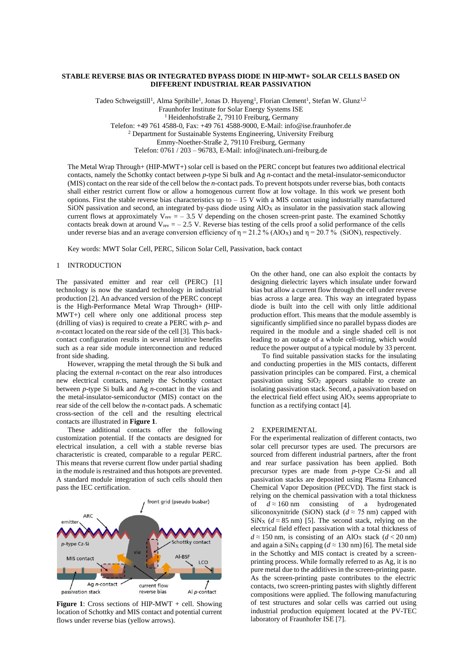## **STABLE REVERSE BIAS OR INTEGRATED BYPASS DIODE IN HIP-MWT+ SOLAR CELLS BASED ON DIFFERENT INDUSTRIAL REAR PASSIVATION**

Tadeo Schweigstill<sup>1</sup>, Alma Spribille<sup>1</sup>, Jonas D. Huyeng<sup>1</sup>, Florian Clement<sup>1</sup>, Stefan W. Glunz<sup>1,2</sup> Fraunhofer Institute for Solar Energy Systems ISE <sup>1</sup> Heidenhofstraße 2, 79110 Freiburg, Germany Telefon: +49 761 4588-0, Fax: +49 761 4588-9000, E-Mail: info@ise.fraunhofer.de <sup>2</sup> Department for Sustainable Systems Engineering, University Freiburg Emmy-Noether-Straße 2, 79110 Freiburg, Germany Telefon: 0761 / 203 – 96783, E-Mail: info@inatech.uni-freiburg.de

The Metal Wrap Through+ (HIP-MWT+) solar cell is based on the PERC concept but features two additional electrical contacts, namely the Schottky contact between *p*-type Si bulk and Ag *n*-contact and the metal-insulator-semiconductor (MIS) contact on the rear side of the cell below the *n*-contact pads. To prevent hotspots under reverse bias, both contacts shall either restrict current flow or allow a homogenous current flow at low voltage. In this work we present both options. First the stable reverse bias characteristics up to  $-15$  V with a MIS contact using industrially manufactured SiON passivation and second, an integrated by-pass diode using  $AIO<sub>X</sub>$  as insulator in the passivation stack allowing current flows at approximately  $V_{rev} = -3.5$  V depending on the chosen screen-print paste. The examined Schottky contacts break down at around  $V_{rev} = -2.5$  V. Reverse bias testing of the cells proof a solid performance of the cells under reverse bias and an average conversion efficiency of  $\eta = 21.2$  % (AlO<sub>X</sub>) and  $\eta = 20.7$  % (SiON), respectively.

Key words: MWT Solar Cell, PERC, Silicon Solar Cell, Passivation, back contact

### 1 INTRODUCTION

The passivated emitter and rear cell (PERC) [1] technology is now the standard technology in industrial production [2]. An advanced version of the PERC concept is the High-Performance Metal Wrap Through+ (HIP-MWT+) cell where only one additional process step (drilling of vias) is required to create a PERC with *p*- and *n*-contact located on the rear side of the cell [3]. This backcontact configuration results in several intuitive benefits such as a rear side module interconnection and reduced front side shading.

However, wrapping the metal through the Si bulk and placing the external *n*-contact on the rear also introduces new electrical contacts, namely the Schottky contact between *p*-type Si bulk and Ag *n*-contact in the vias and the metal-insulator-semiconductor (MIS) contact on the rear side of the cell below the *n*-contact pads. A schematic cross-section of the cell and the resulting electrical contacts are illustrated in **Figure 1**.

These additional contacts offer the following customization potential. If the contacts are designed for electrical insulation, a cell with a stable reverse bias characteristic is created, comparable to a regular PERC. This means that reverse current flow under partial shading in the module is restrained and thus hotspots are prevented. A standard module integration of such cells should then pass the IEC certification.



**Figure 1**: Cross sections of HIP-MWT + cell. Showing location of Schottky and MIS contact and potential current flows under reverse bias (yellow arrows).

On the other hand, one can also exploit the contacts by designing dielectric layers which insulate under forward bias but allow a current flow through the cell under reverse bias across a large area. This way an integrated bypass diode is built into the cell with only little additional production effort. This means that the module assembly is significantly simplified since no parallel bypass diodes are required in the module and a single shaded cell is not leading to an outage of a whole cell-string, which would reduce the power output of a typical module by 33 percent.

To find suitable passivation stacks for the insulating and conducting properties in the MIS contacts, different passivation principles can be compared. First, a chemical passivation using SiO<sub>2</sub> appears suitable to create an isolating passivation stack. Second, a passivation based on the electrical field effect using  $AIO<sub>X</sub>$  seems appropriate to function as a rectifying contact [4].

### 2 EXPERIMENTAL

For the experimental realization of different contacts, two solar cell precursor types are used. The precursors are sourced from different industrial partners, after the front and rear surface passivation has been applied. Both precursor types are made from *p*-type Cz-Si and all passivation stacks are deposited using Plasma Enhanced Chemical Vapor Deposition (PECVD). The first stack is relying on the chemical passivation with a total thickness of  $d \approx 160$  nm consisting of a hydrogenated siliconoxynitride (SiON) stack ( $d \approx 75$  nm) capped with SiN<sub>X</sub> ( $d \approx 85$  nm) [5]. The second stack, relying on the electrical field effect passivation with a total thickness of  $d \approx 150$  nm, is consisting of an AlO<sub>X</sub> stack ( $d < 20$  nm) and again a SiN<sub>X</sub> capping ( $d \approx 130$  nm) [6]. The metal side in the Schottky and MIS contact is created by a screenprinting process. While formally referred to as Ag, it is no pure metal due to the additives in the screen-printing paste. As the screen-printing paste contributes to the electric contacts, two screen-printing pastes with slightly different compositions were applied. The following manufacturing of test structures and solar cells was carried out using industrial production equipment located at the PV-TEC laboratory of Fraunhofer ISE [7].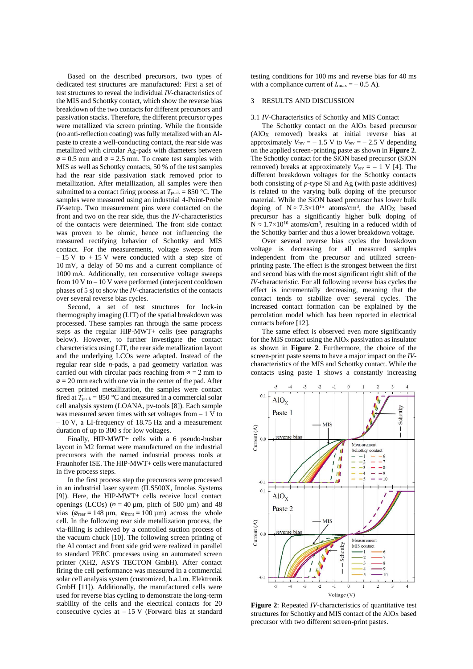Based on the described precursors, two types of dedicated test structures are manufactured: First a set of test structures to reveal the individual *IV*-characteristics of the MIS and Schottky contact, which show the reverse bias breakdown of the two contacts for different precursors and passivation stacks. Therefore, the different precursor types were metallized via screen printing. While the frontside (no anti-reflection coating) was fully metalized with an Alpaste to create a well-conducting contact, the rear side was metallized with circular Ag-pads with diameters between  $\varnothing$  = 0.5 mm and  $\varnothing$  = 2.5 mm. To create test samples with MIS as well as Schottky contacts, 50 % of the test samples had the rear side passivation stack removed prior to metallization. After metallization, all samples were then submitted to a contact firing process at  $T_{\text{peak}} = 850 \degree \text{C}$ . The samples were measured using an industrial 4-Point-Probe *IV*-setup. Two measurement pins were contacted on the front and two on the rear side, thus the *IV*-characteristics of the contacts were determined. The front side contact was proven to be ohmic, hence not influencing the measured rectifying behavior of Schottky and MIS contact. For the measurements, voltage sweeps from  $-15$  V to  $+15$  V were conducted with a step size of 10 mV, a delay of 50 ms and a current compliance of 1000 mA. Additionally, ten consecutive voltage sweeps from 10 V to – 10 V were performed (interjacent cooldown phases of 5 s) to show the *IV*-characteristics of the contacts over several reverse bias cycles.

Second, a set of test structures for lock-in thermography imaging (LIT) of the spatial breakdown was processed. These samples ran through the same process steps as the regular HIP-MWT+ cells (see paragraphs below). However, to further investigate the contact characteristics using LIT, the rear side metallization layout and the underlying LCOs were adapted. Instead of the regular rear side *n*-pads, a pad geometry variation was carried out with circular pads reaching from  $\infty = 2$  mm to  $\varnothing$  = 20 mm each with one via in the center of the pad. After screen printed metallization, the samples were contact fired at  $T_{\text{peak}} = 850 \degree \text{C}$  and measured in a commercial solar cell analysis system (LOANA, pv-tools [8]). Each sample was measured seven times with set voltages from – 1 V to – 10 V, a LI-frequency of 18.75 Hz and a measurement duration of up to 300 s for low voltages.

Finally, HIP-MWT+ cells with a 6 pseudo-busbar layout in M2 format were manufactured on the industrial precursors with the named industrial process tools at Fraunhofer ISE. The HIP-MWT+ cells were manufactured in five process steps.

In the first process step the precursors were processed in an industrial laser system (ILS500X, Innolas Systems [9]). Here, the HIP-MWT+ cells receive local contact openings (LCOs) ( $\varnothing$  = 40 µm, pitch of 500 µm) and 48 vias ( $\varphi_{\text{rear}} = 148 \,\mu\text{m}$ ,  $\varphi_{\text{front}} = 100 \,\mu\text{m}$ ) across the whole cell. In the following rear side metallization process, the via-filling is achieved by a controlled suction process of the vacuum chuck [10]. The following screen printing of the Al contact and front side grid were realized in parallel to standard PERC processes using an automated screen printer (XH2, ASYS TECTON GmbH). After contact firing the cell performance was measured in a commercial solar cell analysis system (customized, h.a.l.m. Elektronik GmbH [11]). Additionally, the manufactured cells were used for reverse bias cycling to demonstrate the long-term stability of the cells and the electrical contacts for 20 consecutive cycles at  $-15$  V (Forward bias at standard

testing conditions for 100 ms and reverse bias for 40 ms with a compliance current of  $I_{\text{max}} = -0.5 \text{ A}$ .

# 3 RESULTS AND DISCUSSION

#### 3.1 *IV*-Characteristics of Schottky and MIS Contact

The Schottky contact on the AlO<sub>X</sub> based precursor (AlO<sup>X</sup> removed) breaks at initial reverse bias at approximately  $V_{rev} = -1.5$  V to  $V_{rev} = -2.5$  V depending on the applied screen-printing paste as shown in **Figure 2**. The Schottky contact for the SiON based precursor (SiON removed) breaks at approximately  $V_{rev} = -1$  V [4]. The different breakdown voltages for the Schottky contacts both consisting of *p*-type Si and Ag (with paste additives) is related to the varying bulk doping of the precursor material. While the SiON based precursor has lower bulk doping of  $N \approx 7.3 \times 10^{15}$  atoms/cm<sup>3</sup>, the AlO<sub>X</sub> based precursor has a significantly higher bulk doping of  $N \approx 1.7 \times 10^{16}$  atoms/cm<sup>3</sup>, resulting in a reduced width of the Schottky barrier and thus a lower breakdown voltage.

Over several reverse bias cycles the breakdown voltage is decreasing for all measured samples independent from the precursor and utilized screenprinting paste. The effect is the strongest between the first and second bias with the most significant right shift of the *IV*-characteristic. For all following reverse bias cycles the effect is incrementally decreasing, meaning that the contact tends to stabilize over several cycles. The increased contact formation can be explained by the percolation model which has been reported in electrical contacts before [12].

The same effect is observed even more significantly for the MIS contact using the AlO<sup>X</sup> passivation as insulator as shown in **Figure 2**. Furthermore, the choice of the screen-print paste seems to have a major impact on the *IV*characteristics of the MIS and Schottky contact. While the contacts using paste 1 shows a constantly increasing



**Figure 2**: Repeated *IV*-characteristics of quantitative test structures for Schottky and MIS contact of the AlO<sup>X</sup> based precursor with two different screen-print pastes.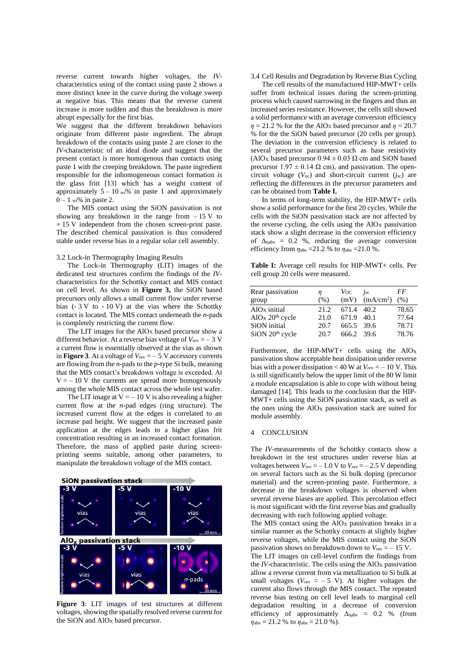reverse current towards higher voltages, the *IV*characteristics using of the contact using paste 2 shows a more distinct knee in the curve during the voltage sweep at negative bias. This means that the reverse current increase is more sudden and thus the breakdown is more abrupt especially for the first bias.

We suggest that the different breakdown behaviors originate from different paste ingredient. The abrupt breakdown of the contacts using paste 2 are closer to the *IV*-characteristic of an ideal diode and suggest that the present contact is more homogenous than contacts using paste 1 with the creeping breakdown. The paste ingredient responsible for the inhomogeneous contact formation is the glass fritt [13] which has a weight content of approximately  $5 - 10$  wt% in paste 1 and approximately  $0 - 1$  wthen in paste 2.

The MIS contact using the SiON passivation is not showing any breakdown in the range from  $-15$  V to + 15 V independent from the chosen screen-print paste. The described chemical passivation is thus considered stable under reverse bias in a regular solar cell assembly.

### 3.2 Lock-in Thermography Imaging Results

The Lock-in Thermography (LIT) images of the dedicated test structures confirm the findings of the *IV*characteristics for the Schottky contact and MIS contact on cell level. As shown in **Figure 3,** the SiON based precursors only allows a small current flow under reverse bias  $(-3 \text{ V to } -10 \text{ V})$  at the vias where the Schottky contact is located. The MIS contact underneath the *n*-pads is completely restricting the current flow.

The LIT images for the AlO<sub>X</sub> based precursor show a different behavior. At a reverse bias voltage of  $V_{\text{rev}} = -3 \text{ V}$ a current flow is essentially observed at the vias as shown in **Figure** 3. At a voltage of  $V_{\text{rev}} = -5$  V accessory currents are flowing from the *n*-pads to the *p*-type Si bulk, meaning that the MIS contact's breakdown voltage is exceeded. At  $V = -10$  V the currents are spread more homogenously among the whole MIS contact across the whole test wafer.

The LIT image at  $V = -10$  V is also revealing a higher current flow at the *n*-pad edges (ring structure). The increased current flow at the edges is correlated to an increase pad height. We suggest that the increased paste application at the edges leads to a higher glass frit concentration resulting in an increased contact formation. Therefore, the mass of applied paste during screenprinting seems suitable, among other parameters, to manipulate the breakdown voltage of the MIS contact.



**Figure 3**: LIT images of test structures at different voltages, showing the spatially resolved reverse current for the SiON and AlO<sub>x</sub> based precursor.

### 3.4 Cell Results and Degradation by Reverse Bias Cycling

The cell results of the manufactured HIP-MWT+ cells suffer from technical issues during the screen-printing process which caused narrowing in the fingers and thus an increased series resistance. However, the cells still showed a solid performance with an average conversion efficiency  $\eta = 21.2$  % for the the AlO<sub>X</sub> based precursor and  $\eta = 20.7$ % for the the SiON based precursor (20 cells per group). The deviation in the conversion efficiency is related to several precursor parameters such as base resistivity (AlO<sub>X</sub> based precursor  $0.94 \pm 0.03 \Omega$  cm and SiON based precursor  $1.97 \pm 0.14 \Omega$  cm), and passivation. The opencircuit voltage (*V*oc) and short-circuit current (*j*sc) are reflecting the differences in the precursor parameters and can be obtained from **Table I.**

In terms of long-term stability, the HIP-MWT+ cells show a solid performance for the first 20 cycles. While the cells with the SiON passivation stack are not affected by the reverse cycling, the cells using the  $AIO<sub>X</sub>$  passivation stack show a slight decrease in the conversion efficiency of  $\Delta_{\text{nabs}} = 0.2$  %, reducing the average conversion efficiency from  $\eta_{\text{abs}} = 21.2$  % to  $\eta_{\text{abs}} = 21.0$  %.

**Table I:** Average cell results for HIP-MWT+ cells. Per cell group 20 cells were measured.

| Rear passivation                                                                                                   | n                            | $V_{OC}$                                   | $\dot{I}_{\rm sc}$ | FF                               |
|--------------------------------------------------------------------------------------------------------------------|------------------------------|--------------------------------------------|--------------------|----------------------------------|
| group                                                                                                              | (% )                         |                                            | $(mV)$ $(mA/cm2)$  | (% )                             |
| AlO <sub>x</sub> initial<br>AIO <sub>X</sub> 20 <sup>th</sup> cycle<br>SiON initial<br>SiON 20 <sup>th</sup> cycle | 21.2<br>21.0<br>20.7<br>20.7 | 671.4<br>671.9<br>665.5 39.6<br>666.2 39.6 | -40.2<br>40.1      | 78.65<br>77.64<br>78.71<br>78.76 |

Furthermore, the HIP-MWT+ cells using the  $AIO<sub>X</sub>$ passivation show acceptable heat dissipation under reverse bias with a power dissipation < 40 W at  $V_{\text{rev}} = -10 \text{ V}$ . This is still significantly below the upper limit of the 80 W limit a module encapsulation is able to cope with without being damaged [14]. This leads to the conclusion that the HIP-MWT+ cells using the SiON passivation stack, as well as the ones using the AlO<sup>X</sup> passivation stack are suited for module assembly.

### 4 CONCLUSION

The *IV*-measurements of the Schottky contacts show a breakdown in the test structures under reverse bias at voltages between  $V_{\text{rev}} = -1.0 \text{ V}$  to  $V_{\text{rev}} = -2.5 \text{ V}$  depending on several factors such as the Si bulk doping (precursor material) and the screen-printing paste. Furthermore, a decrease in the breakdown voltages is observed when several reverse biases are applied. This percolation effect is most significant with the first reverse bias and gradually decreasing with each following applied voltage.

The MIS contact using the AlO<sub>X</sub> passivation breaks in a similar manner as the Schottky contacts at slightly higher reverse voltages, while the MIS contact using the SiON passivation shows no breakdown down to  $V_{\text{rev}} = -15$  V.

The LIT images on cell-level confirm the findings from the *IV*-characteristic. The cells using the  $AIO<sub>X</sub>$  passivation allow a reverse current from via metallization to Si bulk at small voltages ( $V_{\text{rev}} \approx -5$  V). At higher voltages the current also flows through the MIS contact. The repeated reverse bias testing on cell level leads to marginal cell degradation resulting in a decrease of conversion efficiency of approximately  $\Delta_{\text{nabs}} = 0.2$  % (from  $\eta_{\text{abs}} = 21.2$  % to  $\eta_{\text{abs}} = 21.0$  %).